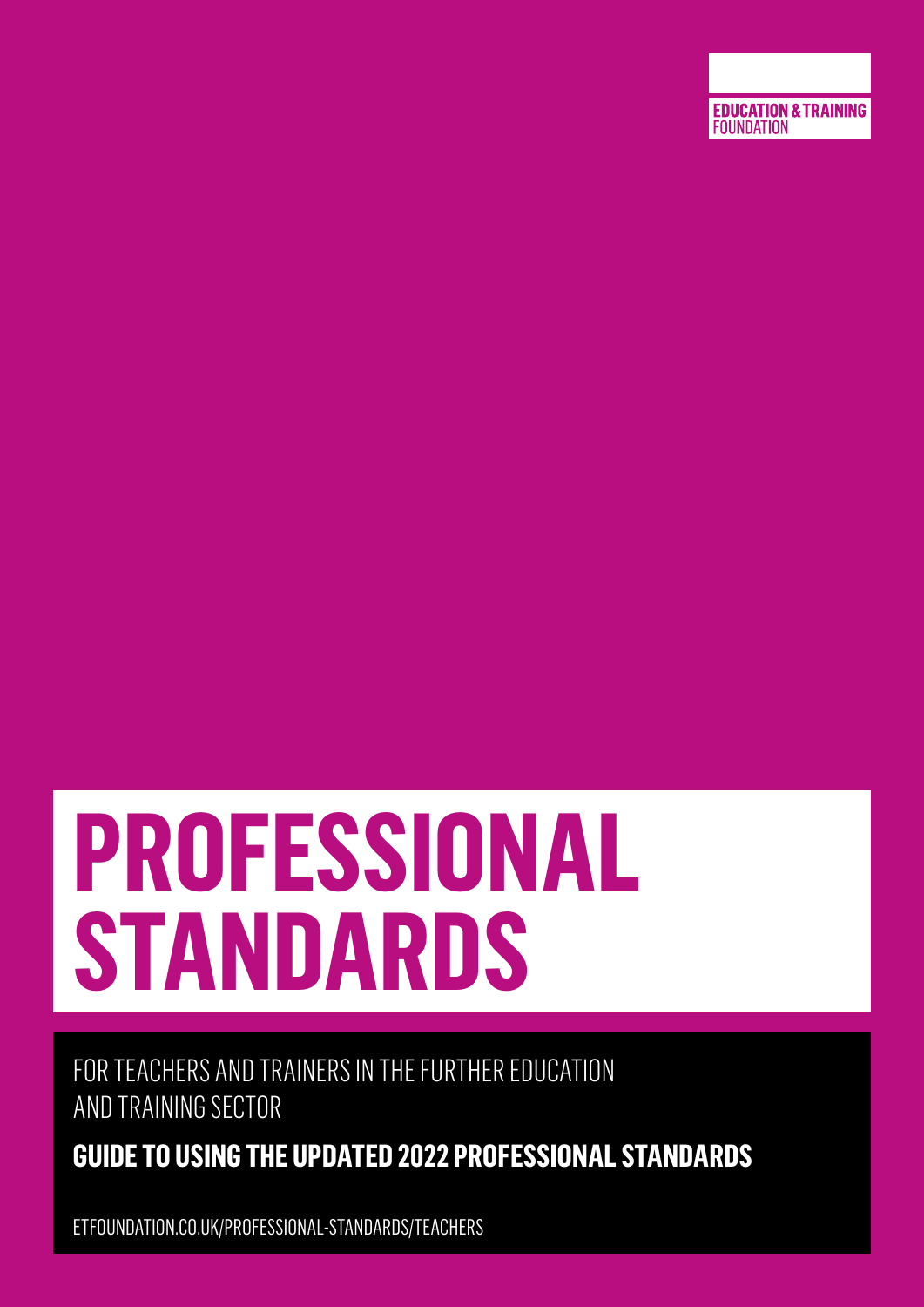

# **PROFESSIONAL STANDARDS**

FOR TEACHERS AND TRAINERS IN THE FURTHER EDUCATION AND TRAINING SECTOR

**GUIDE TO USING THE UPDATED 2022 PROFESSIONAL STANDARDS** 

ETFOUNDATION.CO.UK/PROFESSIONAL-STANDARDS/TEACHERS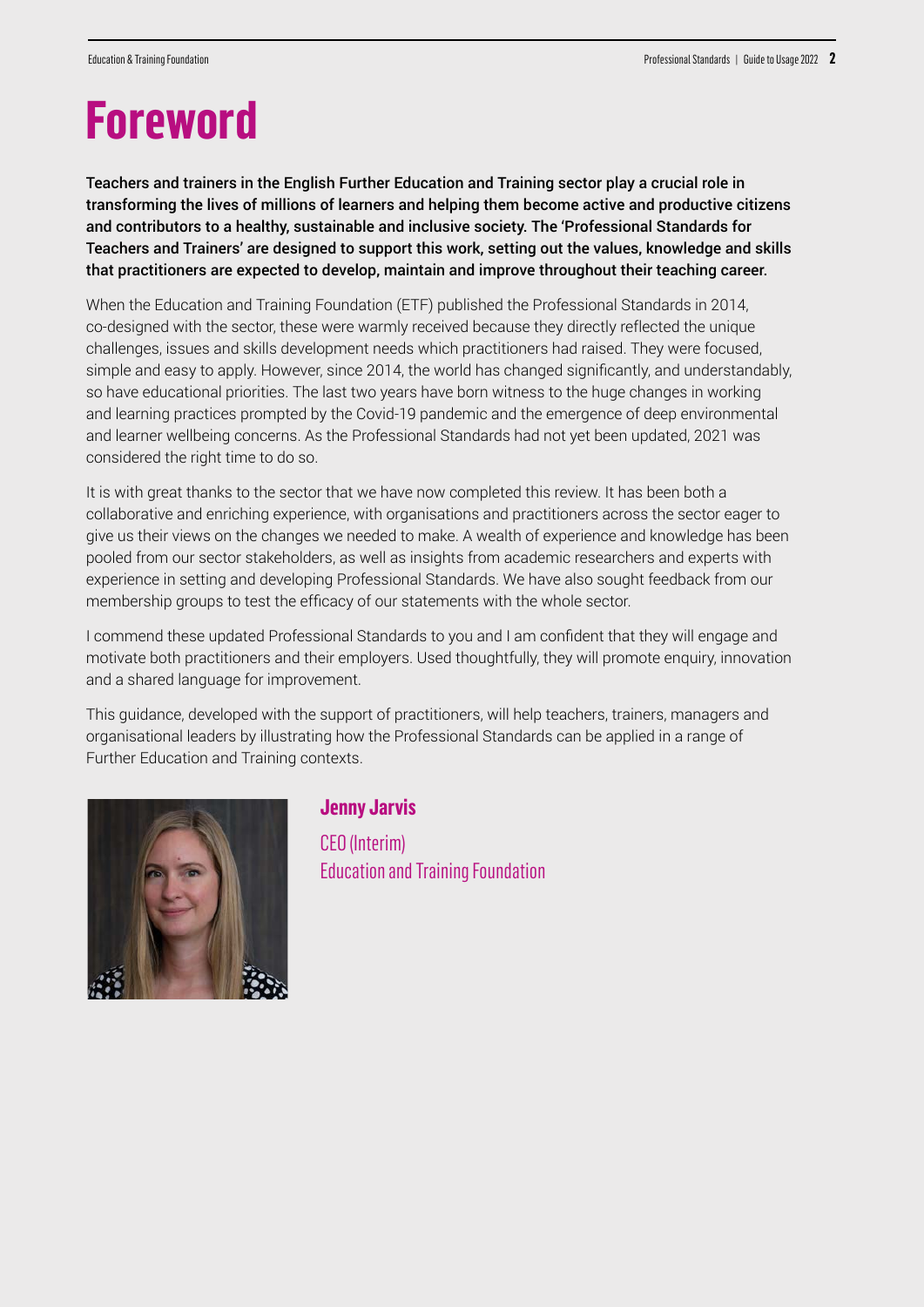# **Foreword**

Teachers and trainers in the English Further Education and Training sector play a crucial role in transforming the lives of millions of learners and helping them become active and productive citizens and contributors to a healthy, sustainable and inclusive society. The 'Professional Standards for Teachers and Trainers' are designed to support this work, setting out the values, knowledge and skills that practitioners are expected to develop, maintain and improve throughout their teaching career.

When the Education and Training Foundation (ETF) published the Professional Standards in 2014, co-designed with the sector, these were warmly received because they directly reflected the unique challenges, issues and skills development needs which practitioners had raised. They were focused, simple and easy to apply. However, since 2014, the world has changed significantly, and understandably, so have educational priorities. The last two years have born witness to the huge changes in working and learning practices prompted by the Covid-19 pandemic and the emergence of deep environmental and learner wellbeing concerns. As the Professional Standards had not yet been updated, 2021 was considered the right time to do so.

It is with great thanks to the sector that we have now completed this review. It has been both a collaborative and enriching experience, with organisations and practitioners across the sector eager to give us their views on the changes we needed to make. A wealth of experience and knowledge has been pooled from our sector stakeholders, as well as insights from academic researchers and experts with experience in setting and developing Professional Standards. We have also sought feedback from our membership groups to test the efficacy of our statements with the whole sector.

I commend these updated Professional Standards to you and I am confident that they will engage and motivate both practitioners and their employers. Used thoughtfully, they will promote enquiry, innovation and a shared language for improvement.

This guidance, developed with the support of practitioners, will help teachers, trainers, managers and organisational leaders by illustrating how the Professional Standards can be applied in a range of Further Education and Training contexts.



#### **Jenny Jarvis**

CEO (Interim) Education and Training Foundation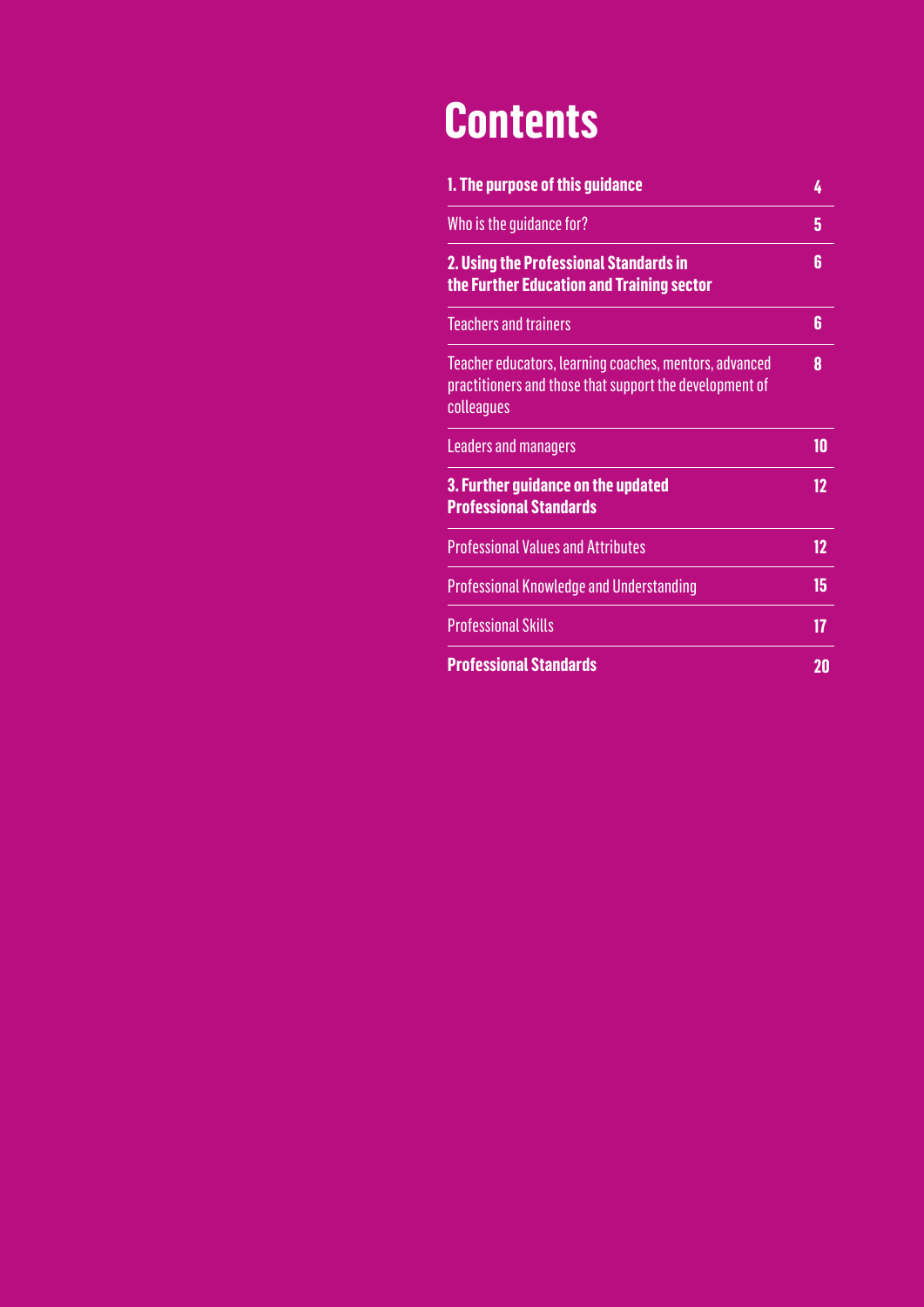# **Contents**

| 1. The purpose of this guidance                                                                                                 | 4                 |
|---------------------------------------------------------------------------------------------------------------------------------|-------------------|
| Who is the quidance for?                                                                                                        | 5                 |
| 2. Using the Professional Standards in<br>the Further Education and Training sector                                             | 6                 |
| <b>Teachers and trainers</b>                                                                                                    | 6                 |
| Teacher educators, learning coaches, mentors, advanced<br>practitioners and those that support the development of<br>colleagues | 8                 |
| <b>Leaders and managers</b>                                                                                                     | 10                |
| 3. Further guidance on the updated<br><b>Professional Standards</b>                                                             | $12 \overline{ }$ |
| <b>Professional Values and Attributes</b>                                                                                       | 12                |
| <b>Professional Knowledge and Understanding</b>                                                                                 | 15                |
| <b>Professional Skills</b>                                                                                                      | 17                |
| <b>Professional Standards</b>                                                                                                   | 20                |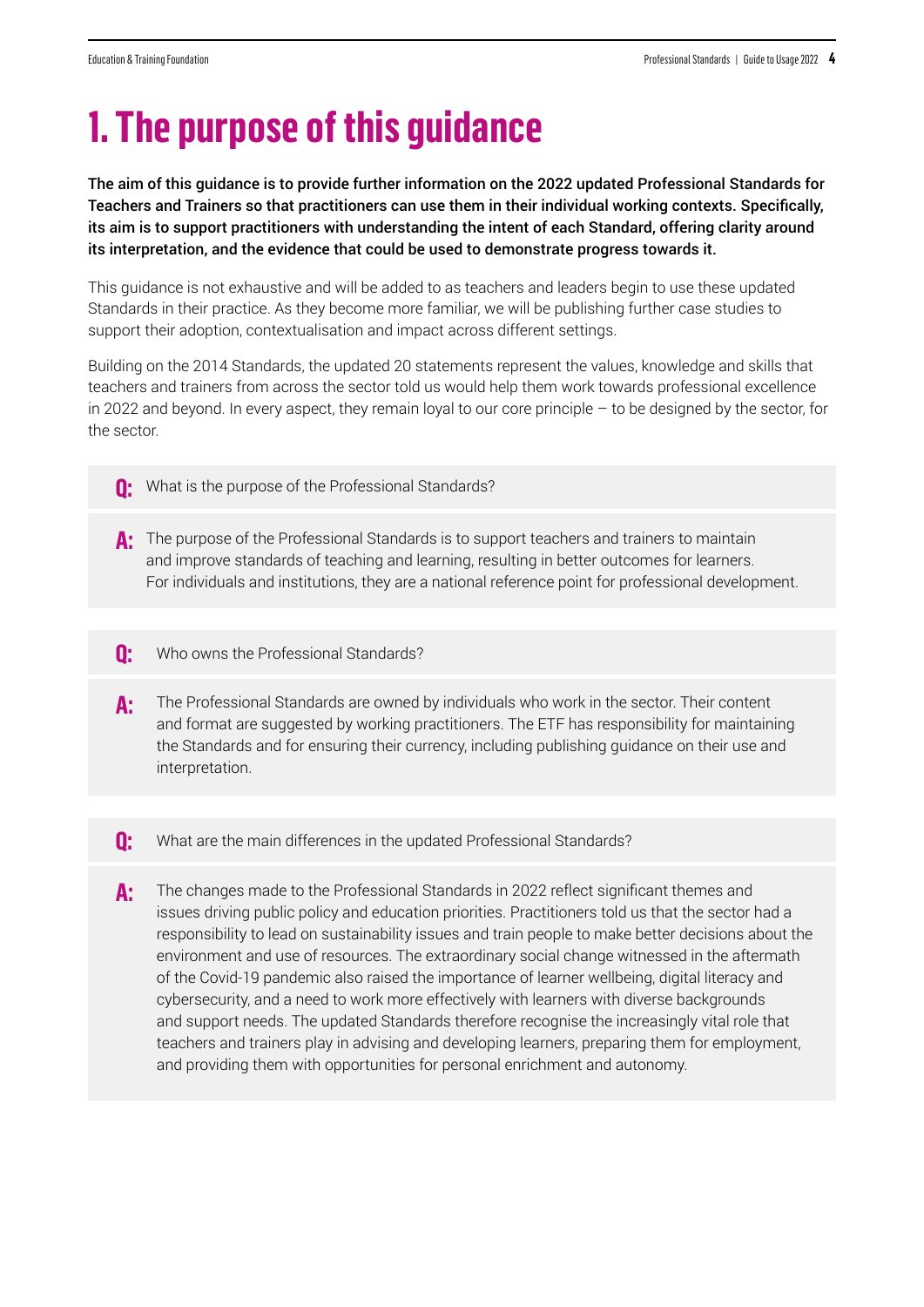# **1. The purpose of this guidance**

The aim of this guidance is to provide further information on the 2022 updated Professional Standards for Teachers and Trainers so that practitioners can use them in their individual working contexts. Specifically, its aim is to support practitioners with understanding the intent of each Standard, offering clarity around its interpretation, and the evidence that could be used to demonstrate progress towards it.

This guidance is not exhaustive and will be added to as teachers and leaders begin to use these updated Standards in their practice. As they become more familiar, we will be publishing further case studies to support their adoption, contextualisation and impact across different settings.

Building on the 2014 Standards, the updated 20 statements represent the values, knowledge and skills that teachers and trainers from across the sector told us would help them work towards professional excellence in 2022 and beyond. In every aspect, they remain loyal to our core principle – to be designed by the sector, for the sector.

- What is the purpose of the Professional Standards? **Q:**
- A: The purpose of the Professional Standards is to support teachers and trainers to maintain and improve standards of teaching and learning, resulting in better outcomes for learners. For individuals and institutions, they are a national reference point for professional development.
- Who owns the Professional Standards? **Q:**
- The Professional Standards are owned by individuals who work in the sector. Their content and format are suggested by working practitioners. The ETF has responsibility for maintaining the Standards and for ensuring their currency, including publishing guidance on their use and interpretation. **A:**
- What are the main differences in the updated Professional Standards? **Q:**
- The changes made to the Professional Standards in 2022 reflect significant themes and issues driving public policy and education priorities. Practitioners told us that the sector had a responsibility to lead on sustainability issues and train people to make better decisions about the environment and use of resources. The extraordinary social change witnessed in the aftermath of the Covid-19 pandemic also raised the importance of learner wellbeing, digital literacy and cybersecurity, and a need to work more effectively with learners with diverse backgrounds and support needs. The updated Standards therefore recognise the increasingly vital role that teachers and trainers play in advising and developing learners, preparing them for employment, and providing them with opportunities for personal enrichment and autonomy. **A:**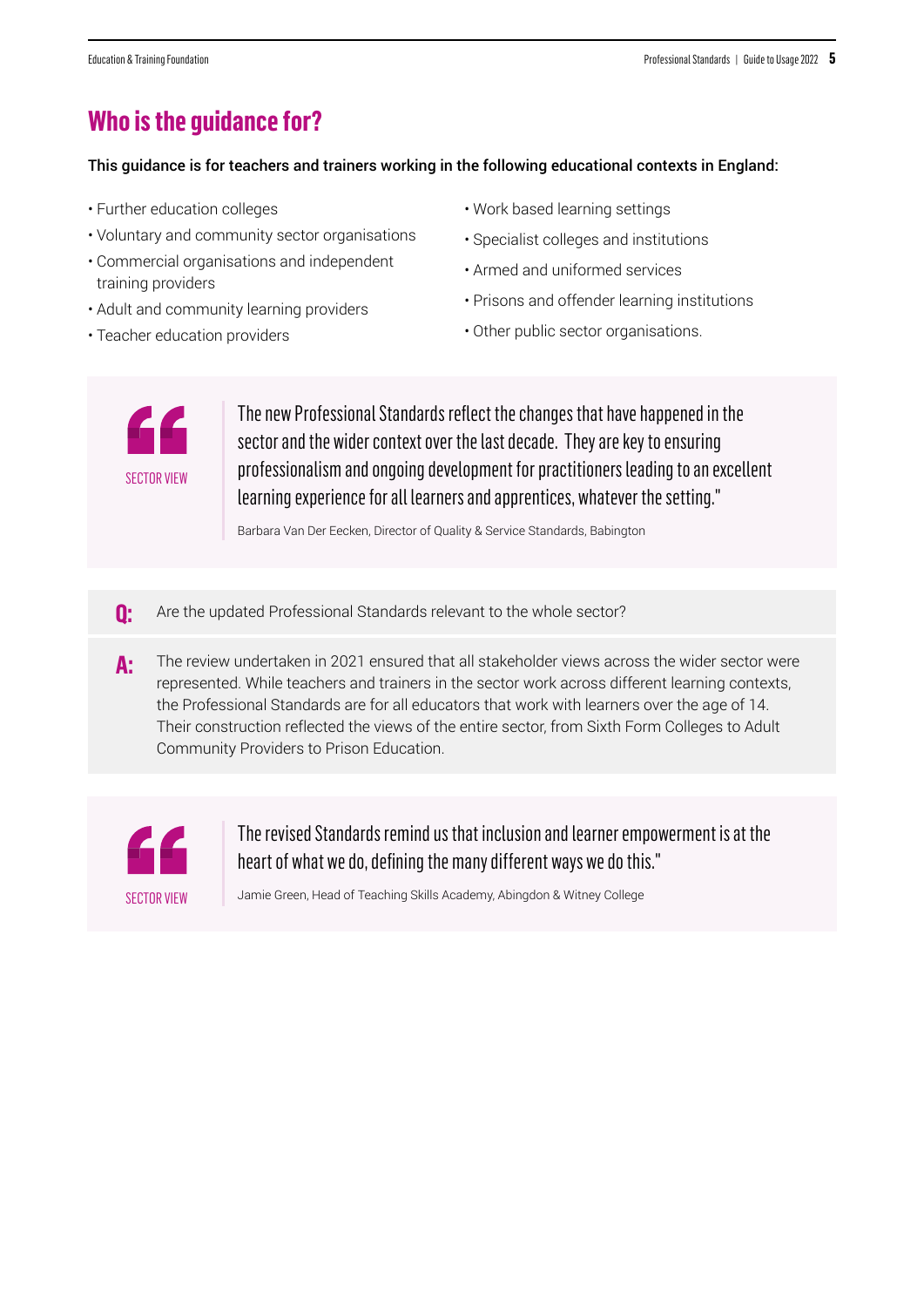### **Who is the guidance for?**

This guidance is for teachers and trainers working in the following educational contexts in England:

- Further education colleges
- Voluntary and community sector organisations
- Commercial organisations and independent training providers
- Adult and community learning providers
- Teacher education providers
- Work based learning settings
- Specialist colleges and institutions
- Armed and uniformed services
- Prisons and offender learning institutions
- Other public sector organisations.



The new Professional Standards reflect the changes that have happened in the sector and the wider context over the last decade. They are key to ensuring professionalism and ongoing development for practitioners leading to an excellent learning experience for all learners and apprentices, whatever the setting."

Barbara Van Der Eecken, Director of Quality & Service Standards, Babington

- **Q:** Are the updated Professional Standards relevant to the whole sector?
- **A:** The review undertaken in 2021 ensured that all stakeholder views across the wider sector were represented. While teachers and trainers in the sector work across different learning contexts, the Professional Standards are for all educators that work with learners over the age of 14. Their construction reflected the views of the entire sector, from Sixth Form Colleges to Adult Community Providers to Prison Education.



The revised Standards remind us that inclusion and learner empowerment is at the heart of what we do, defining the many different ways we do this."

Jamie Green, Head of Teaching Skills Academy, Abingdon & Witney College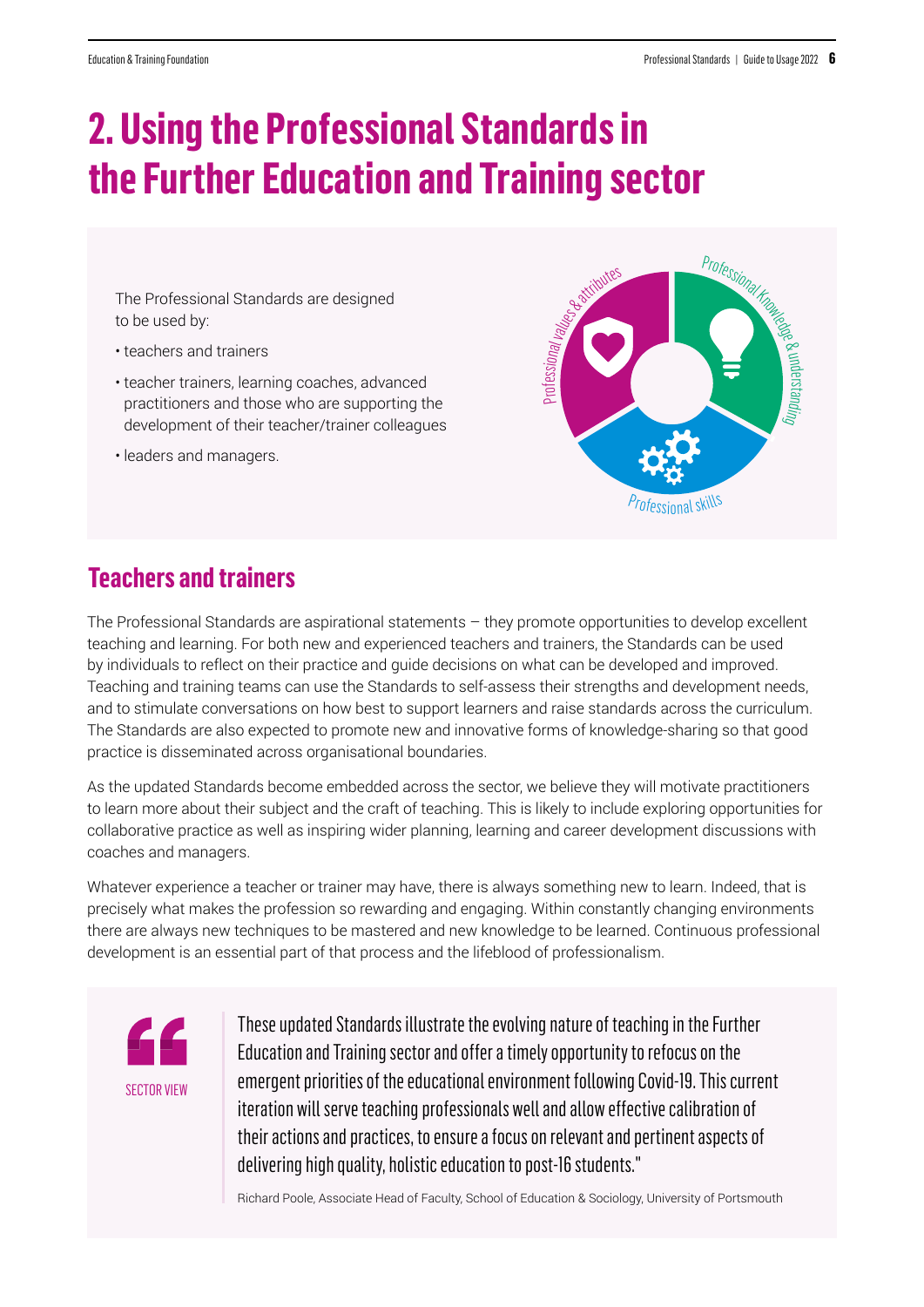# **2. Using the Professional Standards in the Further Education and Training sector**

The Professional Standards are designed to be used by:

- teachers and trainers
- teacher trainers, learning coaches, advanced practitioners and those who are supporting the development of their teacher/trainer colleagues
- leaders and managers.



### **Teachers and trainers**

The Professional Standards are aspirational statements – they promote opportunities to develop excellent teaching and learning. For both new and experienced teachers and trainers, the Standards can be used by individuals to reflect on their practice and guide decisions on what can be developed and improved. Teaching and training teams can use the Standards to self-assess their strengths and development needs, and to stimulate conversations on how best to support learners and raise standards across the curriculum. The Standards are also expected to promote new and innovative forms of knowledge-sharing so that good practice is disseminated across organisational boundaries.

As the updated Standards become embedded across the sector, we believe they will motivate practitioners to learn more about their subject and the craft of teaching. This is likely to include exploring opportunities for collaborative practice as well as inspiring wider planning, learning and career development discussions with coaches and managers.

Whatever experience a teacher or trainer may have, there is always something new to learn. Indeed, that is precisely what makes the profession so rewarding and engaging. Within constantly changing environments there are always new techniques to be mastered and new knowledge to be learned. Continuous professional development is an essential part of that process and the lifeblood of professionalism.

![](_page_5_Picture_12.jpeg)

These updated Standards illustrate the evolving nature of teaching in the Further Education and Training sector and offer a timely opportunity to refocus on the emergent priorities of the educational environment following Covid-19. This current iteration will serve teaching professionals well and allow effective calibration of their actions and practices, to ensure a focus on relevant and pertinent aspects of delivering high quality, holistic education to post-16 students."

Richard Poole, Associate Head of Faculty, School of Education & Sociology, University of Portsmouth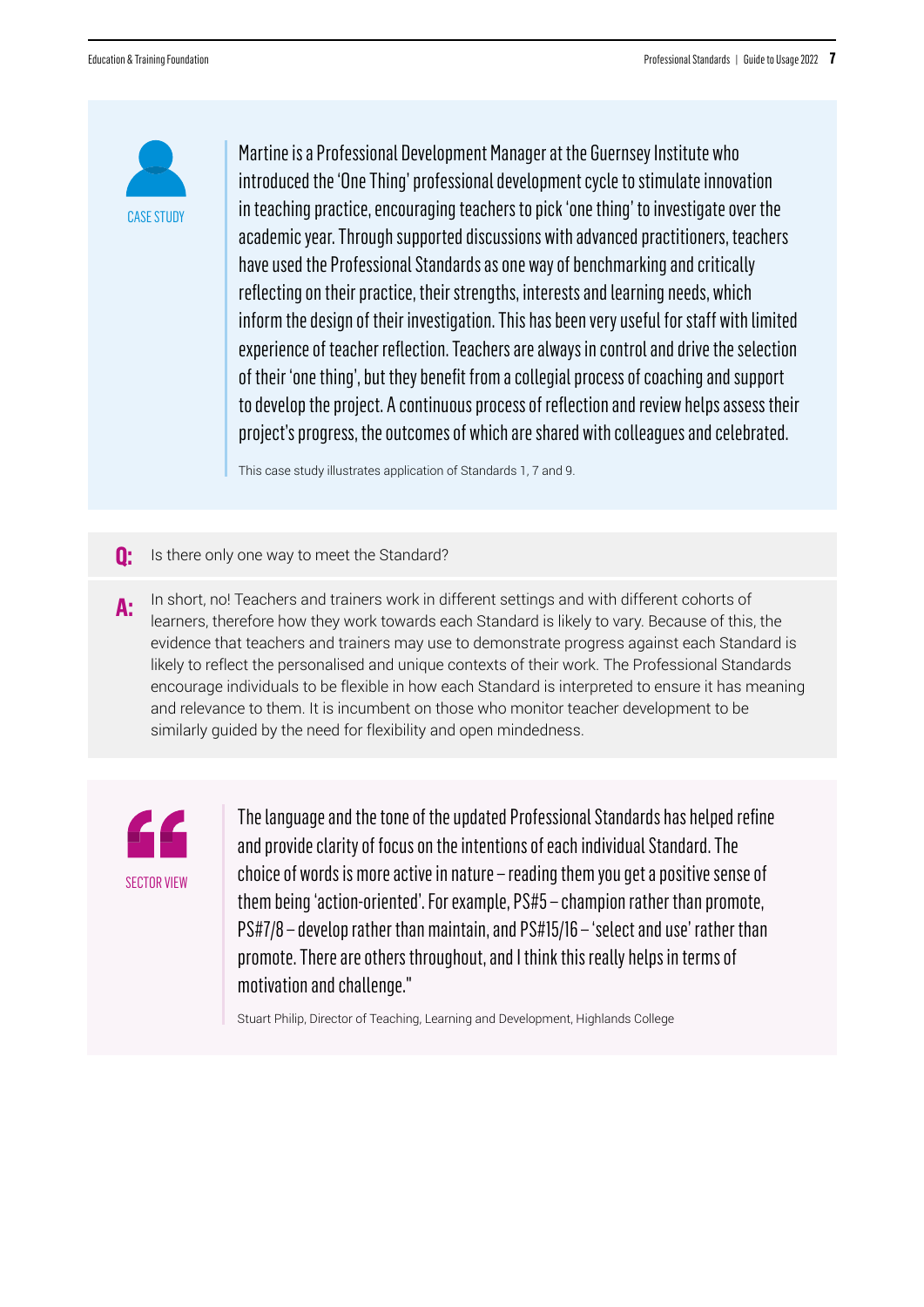![](_page_6_Picture_2.jpeg)

Martine is a Professional Development Manager at the Guernsey Institute who introduced the 'One Thing' professional development cycle to stimulate innovation in teaching practice, encouraging teachers to pick 'one thing' to investigate over the academic year. Through supported discussions with advanced practitioners, teachers have used the Professional Standards as one way of benchmarking and critically reflecting on their practice, their strengths, interests and learning needs, which inform the design of their investigation. This has been very useful for staff with limited experience of teacher reflection. Teachers are always in control and drive the selection of their 'one thing', but they benefit from a collegial process of coaching and support to develop the project. A continuous process of reflection and review helps assess their project's progress, the outcomes of which are shared with colleagues and celebrated.

This case study illustrates application of Standards 1, 7 and 9.

- **Q:** Is there only one way to meet the Standard?
- **A:** In short, no! Teachers and trainers work in different settings and with different cohorts of learners, therefore how they work towards each Standard is likely to vary. Because of this, the evidence that teachers and trainers may use to demonstrate progress against each Standard is likely to reflect the personalised and unique contexts of their work. The Professional Standards encourage individuals to be flexible in how each Standard is interpreted to ensure it has meaning and relevance to them. It is incumbent on those who monitor teacher development to be similarly guided by the need for flexibility and open mindedness.

![](_page_6_Picture_7.jpeg)

The language and the tone of the updated Professional Standards has helped refine and provide clarity of focus on the intentions of each individual Standard. The choice of words is more active in nature – reading them you get a positive sense of them being 'action-oriented'. For example, PS#5 – champion rather than promote, PS#7/8 – develop rather than maintain, and PS#15/16 – 'select and use' rather than promote. There are others throughout, and I think this really helps in terms of motivation and challenge."

Stuart Philip, Director of Teaching, Learning and Development, Highlands College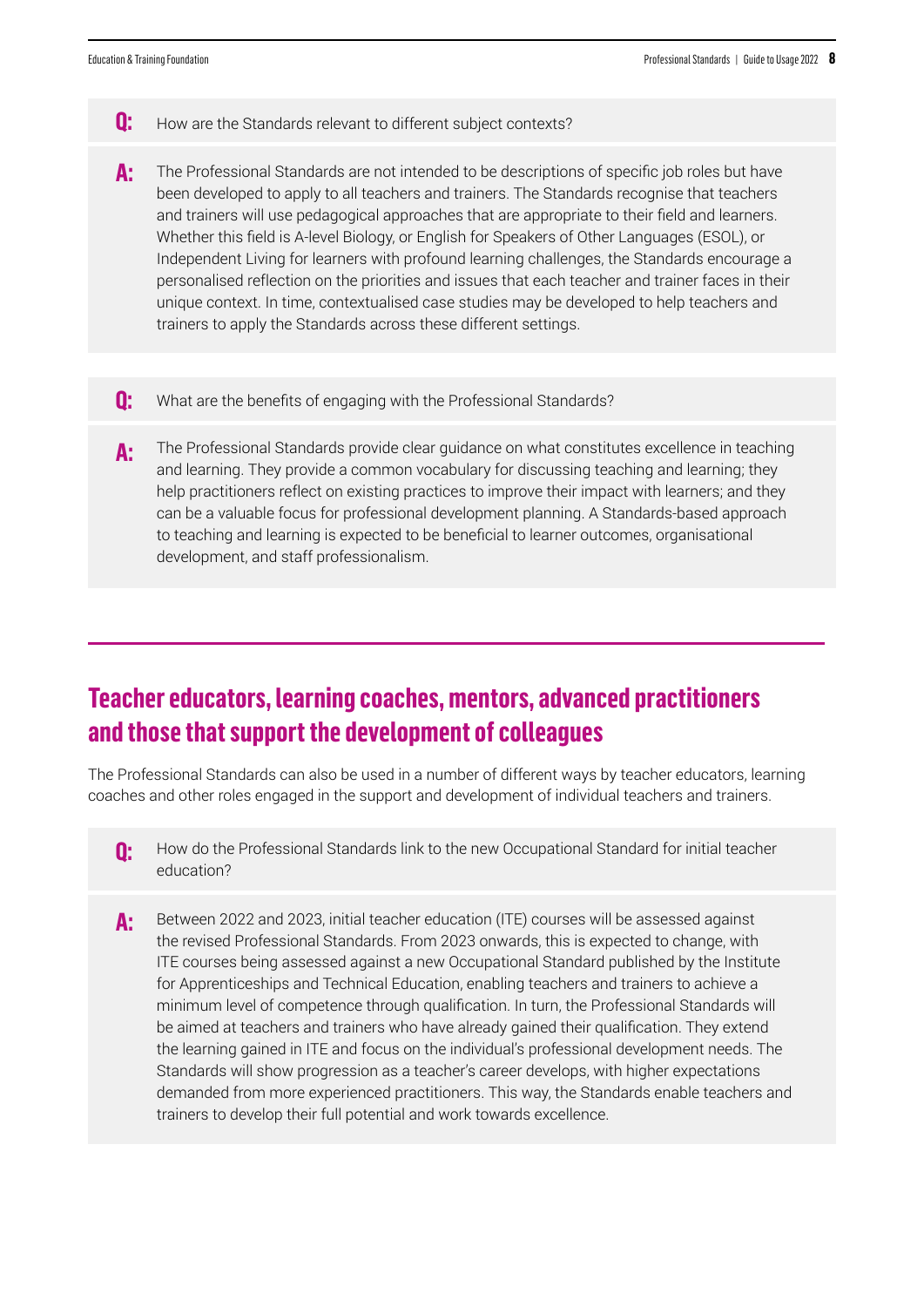- **Q:** How are the Standards relevant to different subject contexts?
- **A:** The Professional Standards are not intended to be descriptions of specific job roles but have been developed to apply to all teachers and trainers. The Standards recognise that teachers and trainers will use pedagogical approaches that are appropriate to their field and learners. Whether this field is A-level Biology, or English for Speakers of Other Languages (ESOL), or Independent Living for learners with profound learning challenges, the Standards encourage a personalised reflection on the priorities and issues that each teacher and trainer faces in their unique context. In time, contextualised case studies may be developed to help teachers and trainers to apply the Standards across these different settings.
- **Q:** What are the benefits of engaging with the Professional Standards?
- **A:** The Professional Standards provide clear guidance on what constitutes excellence in teaching and learning. They provide a common vocabulary for discussing teaching and learning; they help practitioners reflect on existing practices to improve their impact with learners; and they can be a valuable focus for professional development planning. A Standards-based approach to teaching and learning is expected to be beneficial to learner outcomes, organisational development, and staff professionalism.

### **Teacher educators, learning coaches, mentors, advanced practitioners and those that support the development of colleagues**

The Professional Standards can also be used in a number of different ways by teacher educators, learning coaches and other roles engaged in the support and development of individual teachers and trainers.

- **Q:** How do the Professional Standards link to the new Occupational Standard for initial teacher education?
- **A:** Between 2022 and 2023, initial teacher education (ITE) courses will be assessed against the revised Professional Standards. From 2023 onwards, this is expected to change, with ITE courses being assessed against a new Occupational Standard published by the Institute for Apprenticeships and Technical Education, enabling teachers and trainers to achieve a minimum level of competence through qualification. In turn, the Professional Standards will be aimed at teachers and trainers who have already gained their qualification. They extend the learning gained in ITE and focus on the individual's professional development needs. The Standards will show progression as a teacher's career develops, with higher expectations demanded from more experienced practitioners. This way, the Standards enable teachers and trainers to develop their full potential and work towards excellence.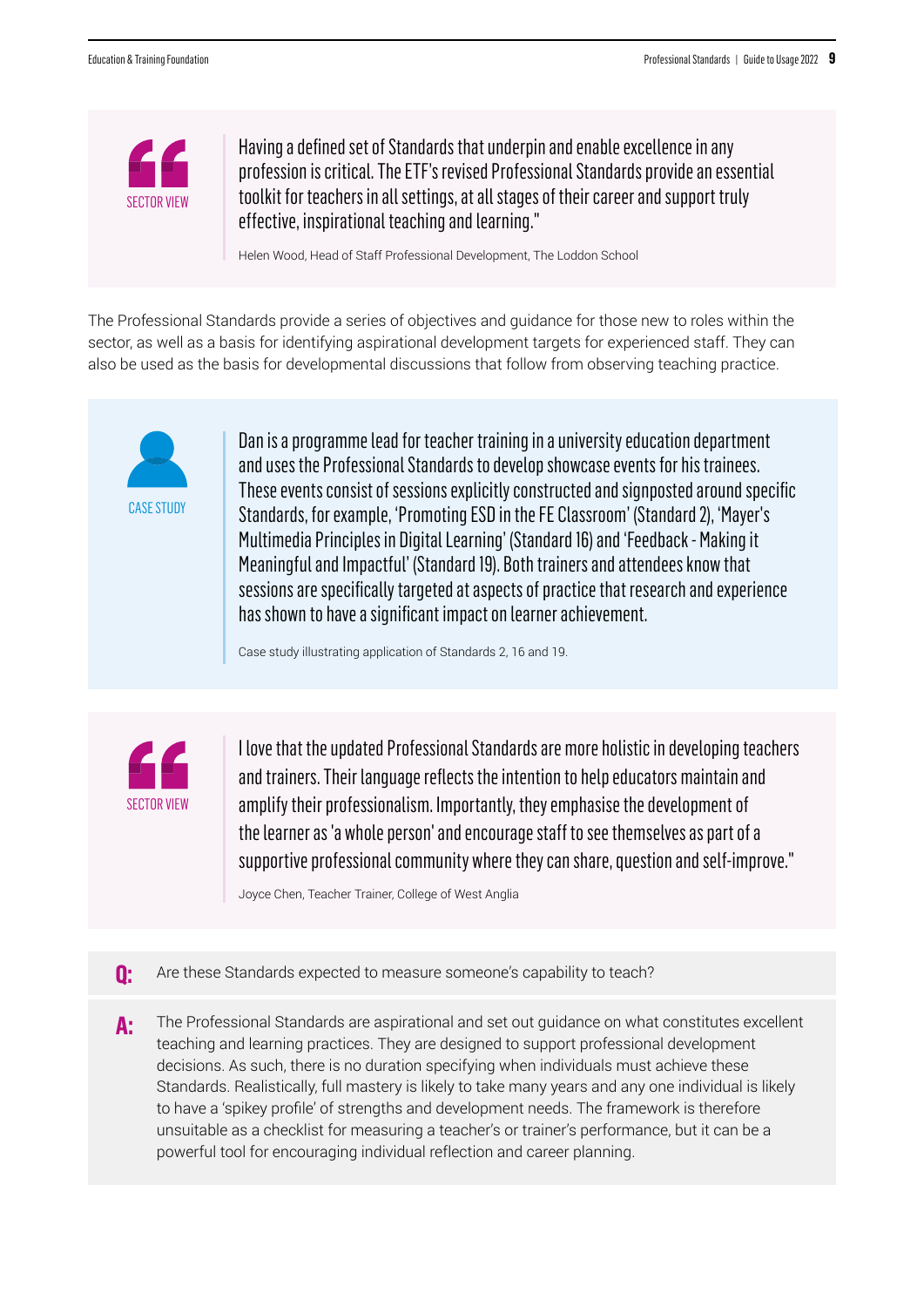![](_page_8_Picture_2.jpeg)

Having a defined set of Standards that underpin and enable excellence in any profession is critical. The ETF's revised Professional Standards provide an essential toolkit for teachers in all settings, at all stages of their career and support truly effective, inspirational teaching and learning."

Helen Wood, Head of Staff Professional Development, The Loddon School

The Professional Standards provide a series of objectives and guidance for those new to roles within the sector, as well as a basis for identifying aspirational development targets for experienced staff. They can also be used as the basis for developmental discussions that follow from observing teaching practice.

![](_page_8_Picture_6.jpeg)

Dan is a programme lead for teacher training in a university education department and uses the Professional Standards to develop showcase events for his trainees. These events consist of sessions explicitly constructed and signposted around specific Standards, for example, 'Promoting ESD in the FE Classroom' (Standard 2), 'Mayer's Multimedia Principles in Digital Learning' (Standard 16) and 'Feedback - Making it Meaningful and Impactful' (Standard 19). Both trainers and attendees know that sessions are specifically targeted at aspects of practice that research and experience has shown to have a significant impact on learner achievement.

Case study illustrating application of Standards 2, 16 and 19.

![](_page_8_Picture_9.jpeg)

I love that the updated Professional Standards are more holistic in developing teachers and trainers. Their language reflects the intention to help educators maintain and amplify their professionalism. Importantly, they emphasise the development of the learner as 'a whole person' and encourage staff to see themselves as part of a supportive professional community where they can share, question and self-improve."

Joyce Chen, Teacher Trainer, College of West Anglia

- **Q:** Are these Standards expected to measure someone's capability to teach?
- **A:** The Professional Standards are aspirational and set out guidance on what constitutes excellent teaching and learning practices. They are designed to support professional development decisions. As such, there is no duration specifying when individuals must achieve these Standards. Realistically, full mastery is likely to take many years and any one individual is likely to have a 'spikey profile' of strengths and development needs. The framework is therefore unsuitable as a checklist for measuring a teacher's or trainer's performance, but it can be a powerful tool for encouraging individual reflection and career planning.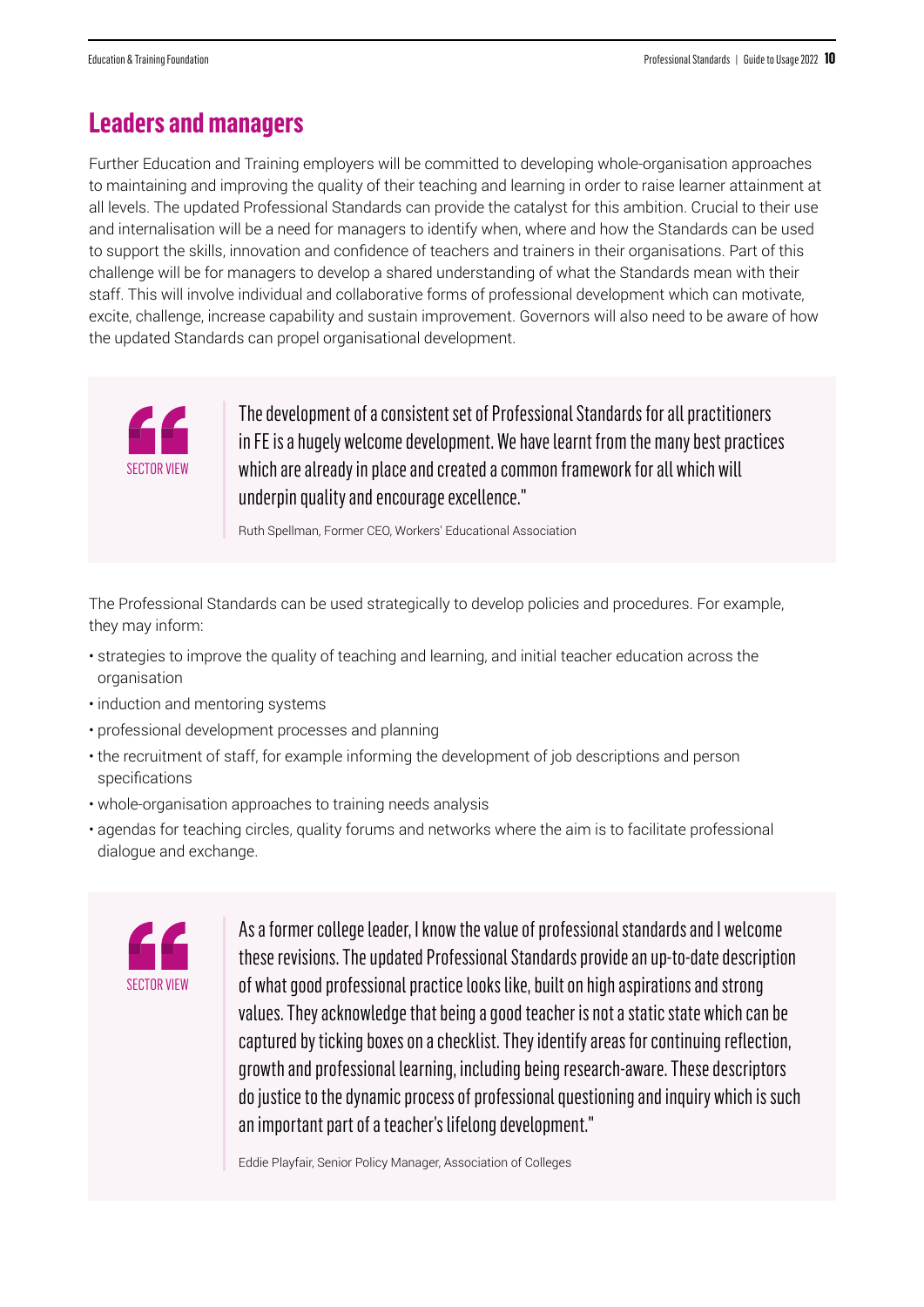### **Leaders and managers**

Further Education and Training employers will be committed to developing whole-organisation approaches to maintaining and improving the quality of their teaching and learning in order to raise learner attainment at all levels. The updated Professional Standards can provide the catalyst for this ambition. Crucial to their use and internalisation will be a need for managers to identify when, where and how the Standards can be used to support the skills, innovation and confidence of teachers and trainers in their organisations. Part of this challenge will be for managers to develop a shared understanding of what the Standards mean with their staff. This will involve individual and collaborative forms of professional development which can motivate, excite, challenge, increase capability and sustain improvement. Governors will also need to be aware of how the updated Standards can propel organisational development.

![](_page_9_Picture_4.jpeg)

The development of a consistent set of Professional Standards for all practitioners in FE is a hugely welcome development. We have learnt from the many best practices which are already in place and created a common framework for all which will underpin quality and encourage excellence."

Ruth Spellman, Former CEO, Workers' Educational Association

The Professional Standards can be used strategically to develop policies and procedures. For example, they may inform:

- strategies to improve the quality of teaching and learning, and initial teacher education across the organisation
- induction and mentoring systems
- professional development processes and planning
- the recruitment of staff, for example informing the development of job descriptions and person specifications
- whole-organisation approaches to training needs analysis
- agendas for teaching circles, quality forums and networks where the aim is to facilitate professional dialogue and exchange.

![](_page_9_Picture_14.jpeg)

As a former college leader, I know the value of professional standards and I welcome these revisions. The updated Professional Standards provide an up-to-date description of what good professional practice looks like, built on high aspirations and strong values. They acknowledge that being a good teacher is not a static state which can be captured by ticking boxes on a checklist. They identify areas for continuing reflection, growth and professional learning, including being research-aware. These descriptors do justice to the dynamic process of professional questioning and inquiry which is such an important part of a teacher's lifelong development."

Eddie Playfair, Senior Policy Manager, Association of Colleges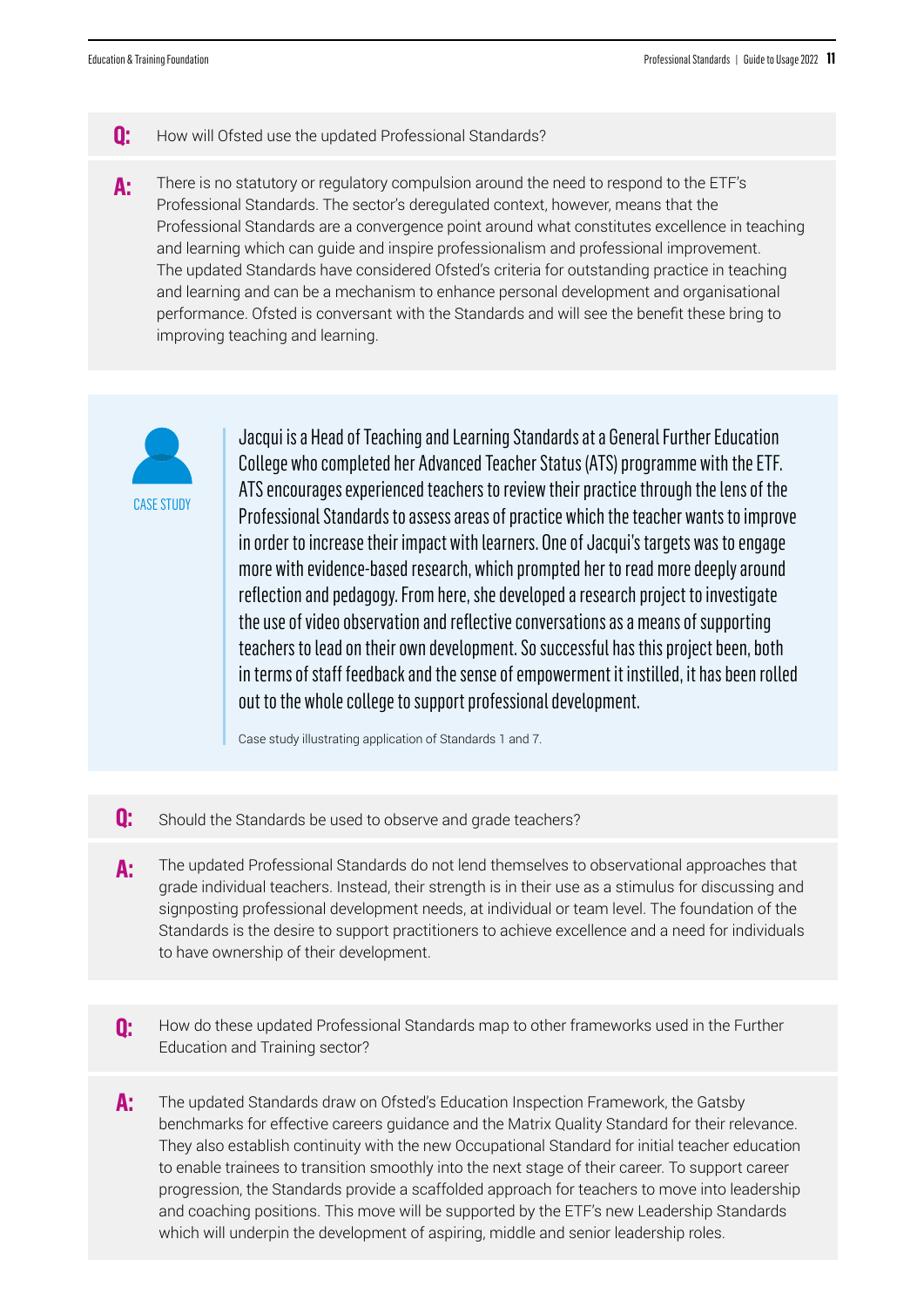- **Q:** How will Ofsted use the updated Professional Standards?
- **A:** There is no statutory or regulatory compulsion around the need to respond to the ETF's Professional Standards. The sector's deregulated context, however, means that the Professional Standards are a convergence point around what constitutes excellence in teaching and learning which can guide and inspire professionalism and professional improvement. The updated Standards have considered Ofsted's criteria for outstanding practice in teaching and learning and can be a mechanism to enhance personal development and organisational performance. Ofsted is conversant with the Standards and will see the benefit these bring to improving teaching and learning.

![](_page_10_Picture_4.jpeg)

Jacqui is a Head of Teaching and Learning Standards at a General Further Education College who completed her Advanced Teacher Status (ATS) programme with the ETF. ATS encourages experienced teachers to review their practice through the lens of the Professional Standards to assess areas of practice which the teacher wants to improve in order to increase their impact with learners. One of Jacqui's targets was to engage more with evidence-based research, which prompted her to read more deeply around reflection and pedagogy. From here, she developed a research project to investigate the use of video observation and reflective conversations as a means of supporting teachers to lead on their own development. So successful has this project been, both in terms of staff feedback and the sense of empowerment it instilled, it has been rolled out to the whole college to support professional development.

Case study illustrating application of Standards 1 and 7.

- **Q:** Should the Standards be used to observe and grade teachers?
- **A:** The updated Professional Standards do not lend themselves to observational approaches that grade individual teachers. Instead, their strength is in their use as a stimulus for discussing and signposting professional development needs, at individual or team level. The foundation of the Standards is the desire to support practitioners to achieve excellence and a need for individuals to have ownership of their development.
- **Q:** How do these updated Professional Standards map to other frameworks used in the Further Education and Training sector?
- **A:** The updated Standards draw on Ofsted's Education Inspection Framework, the Gatsby benchmarks for effective careers guidance and the Matrix Quality Standard for their relevance. They also establish continuity with the new Occupational Standard for initial teacher education to enable trainees to transition smoothly into the next stage of their career. To support career progression, the Standards provide a scaffolded approach for teachers to move into leadership and coaching positions. This move will be supported by the ETF's new Leadership Standards which will underpin the development of aspiring, middle and senior leadership roles.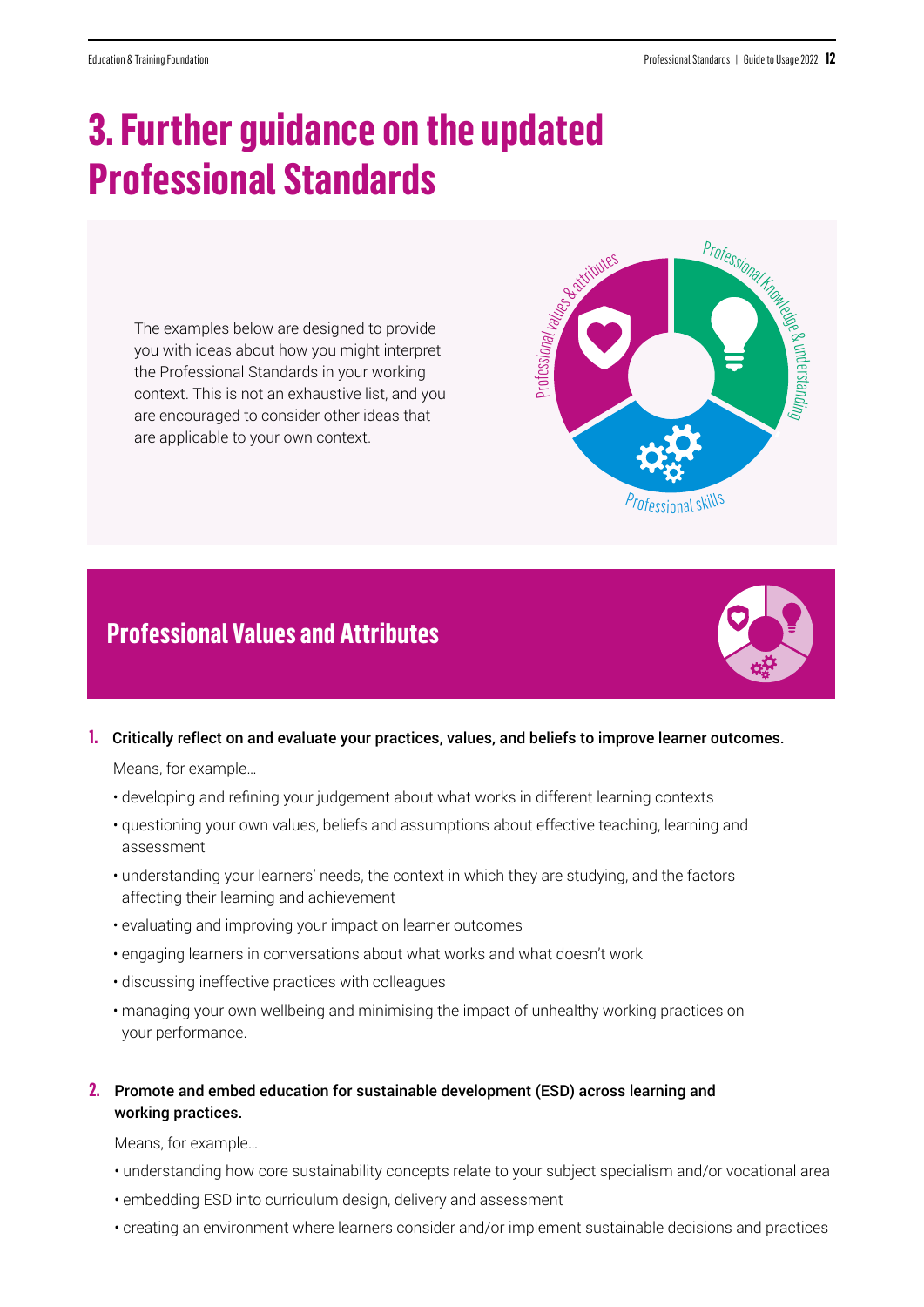Professional

 $\displaystyle\subset$  $\mathbf{\Omega}$ e $\overline{\phantom{0}}$  $\,$  $\rightarrow$ a $\Rightarrow$  $\overline{\mathcal{Q}}$ 

# **3. Further guidance on the updated Professional Standards**

The examples below are designed to provide you with ideas about how you might interpret the Professional Standards in your working context. This is not an exhaustive list, and you are encouraged to consider other ideas that are applicable to your own context.

# **Professional Values and Attributes**

![](_page_11_Picture_5.jpeg)

Professionalvalues

![](_page_11_Picture_6.jpeg)

#### **1.** Critically reflect on and evaluate your practices, values, and beliefs to improve learner outcomes.

Means, for example…

- developing and refining your judgement about what works in different learning contexts
- questioning your own values, beliefs and assumptions about effective teaching, learning and assessment
- understanding your learners' needs, the context in which they are studying, and the factors affecting their learning and achievement
- evaluating and improving your impact on learner outcomes
- engaging learners in conversations about what works and what doesn't work
- discussing ineffective practices with colleagues
- managing your own wellbeing and minimising the impact of unhealthy working practices on your performance.
- **2.** Promote and embed education for sustainable development (ESD) across learning and working practices.

- understanding how core sustainability concepts relate to your subject specialism and/or vocational area
- embedding ESD into curriculum design, delivery and assessment
- creating an environment where learners consider and/or implement sustainable decisions and practices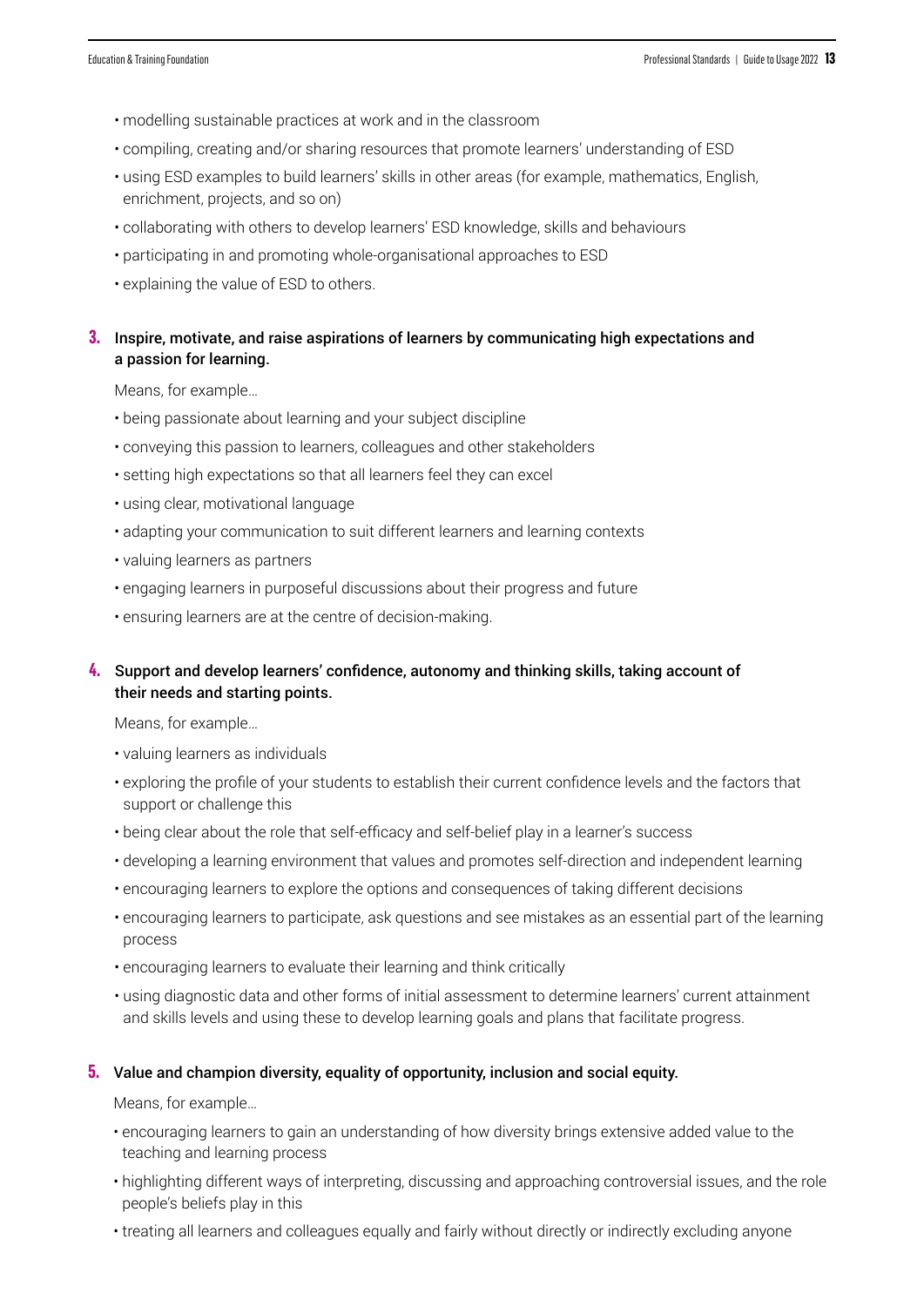- modelling sustainable practices at work and in the classroom
- compiling, creating and/or sharing resources that promote learners' understanding of ESD
- using ESD examples to build learners' skills in other areas (for example, mathematics, English, enrichment, projects, and so on)
- collaborating with others to develop learners' ESD knowledge, skills and behaviours
- participating in and promoting whole-organisational approaches to ESD
- explaining the value of ESD to others.

#### **3.** Inspire, motivate, and raise aspirations of learners by communicating high expectations and a passion for learning.

Means, for example…

- being passionate about learning and your subject discipline
- conveying this passion to learners, colleagues and other stakeholders
- setting high expectations so that all learners feel they can excel
- using clear, motivational language
- adapting your communication to suit different learners and learning contexts
- valuing learners as partners
- engaging learners in purposeful discussions about their progress and future
- ensuring learners are at the centre of decision-making.

#### **4.** Support and develop learners' confidence, autonomy and thinking skills, taking account of their needs and starting points.

Means, for example…

- valuing learners as individuals
- exploring the profile of your students to establish their current confidence levels and the factors that support or challenge this
- being clear about the role that self-efficacy and self-belief play in a learner's success
- developing a learning environment that values and promotes self-direction and independent learning
- encouraging learners to explore the options and consequences of taking different decisions
- encouraging learners to participate, ask questions and see mistakes as an essential part of the learning process
- encouraging learners to evaluate their learning and think critically
- using diagnostic data and other forms of initial assessment to determine learners' current attainment and skills levels and using these to develop learning goals and plans that facilitate progress.

#### **5.** Value and champion diversity, equality of opportunity, inclusion and social equity.

- encouraging learners to gain an understanding of how diversity brings extensive added value to the teaching and learning process
- highlighting different ways of interpreting, discussing and approaching controversial issues, and the role people's beliefs play in this
- treating all learners and colleagues equally and fairly without directly or indirectly excluding anyone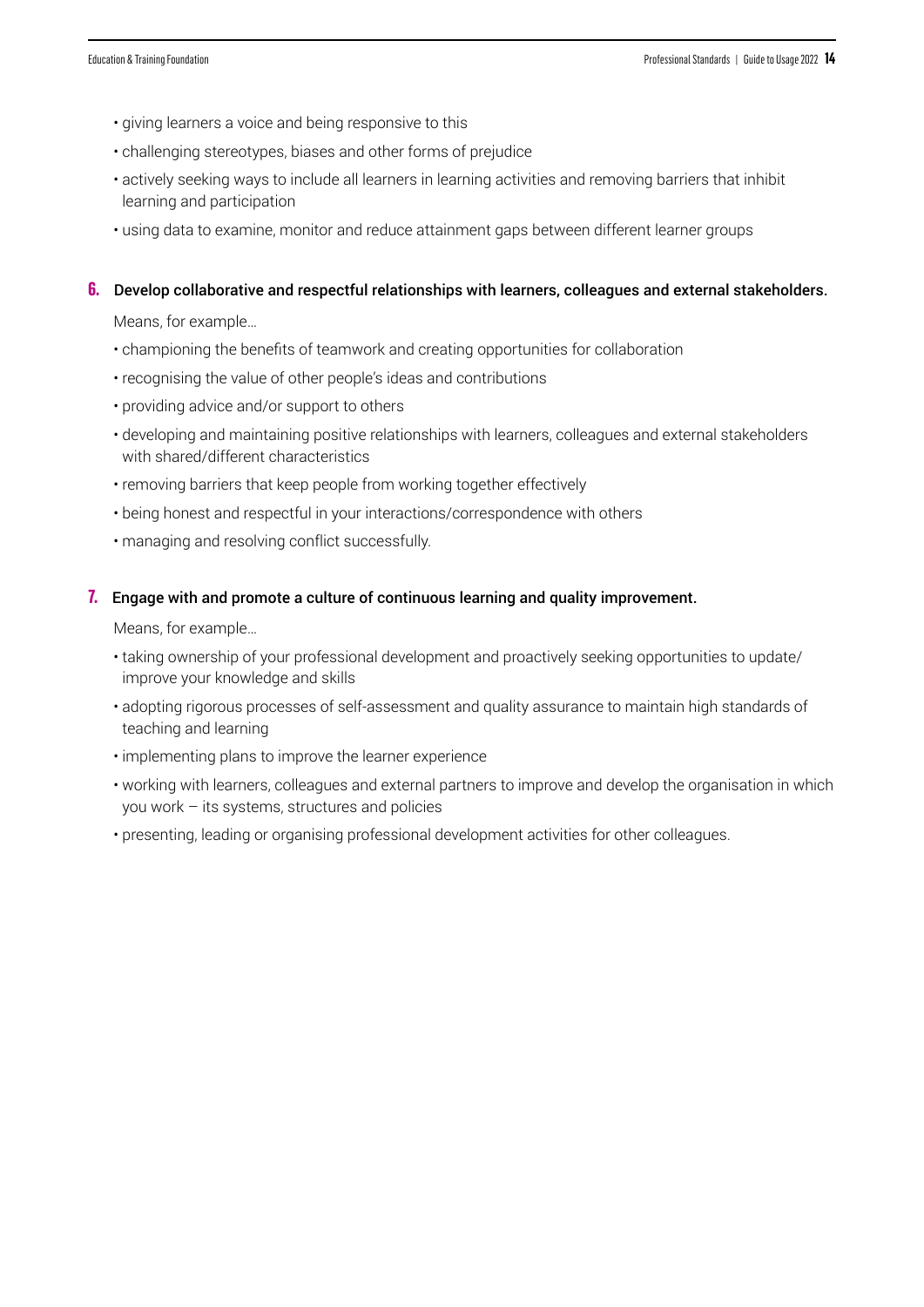- giving learners a voice and being responsive to this
- challenging stereotypes, biases and other forms of prejudice
- actively seeking ways to include all learners in learning activities and removing barriers that inhibit learning and participation
- using data to examine, monitor and reduce attainment gaps between different learner groups

#### **6.** Develop collaborative and respectful relationships with learners, colleagues and external stakeholders.

Means, for example…

- championing the benefits of teamwork and creating opportunities for collaboration
- recognising the value of other people's ideas and contributions
- providing advice and/or support to others
- developing and maintaining positive relationships with learners, colleagues and external stakeholders with shared/different characteristics
- removing barriers that keep people from working together effectively
- being honest and respectful in your interactions/correspondence with others
- managing and resolving conflict successfully.

#### **7.** Engage with and promote a culture of continuous learning and quality improvement.

- taking ownership of your professional development and proactively seeking opportunities to update/ improve your knowledge and skills
- adopting rigorous processes of self-assessment and quality assurance to maintain high standards of teaching and learning
- implementing plans to improve the learner experience
- working with learners, colleagues and external partners to improve and develop the organisation in which you work – its systems, structures and policies
- presenting, leading or organising professional development activities for other colleagues.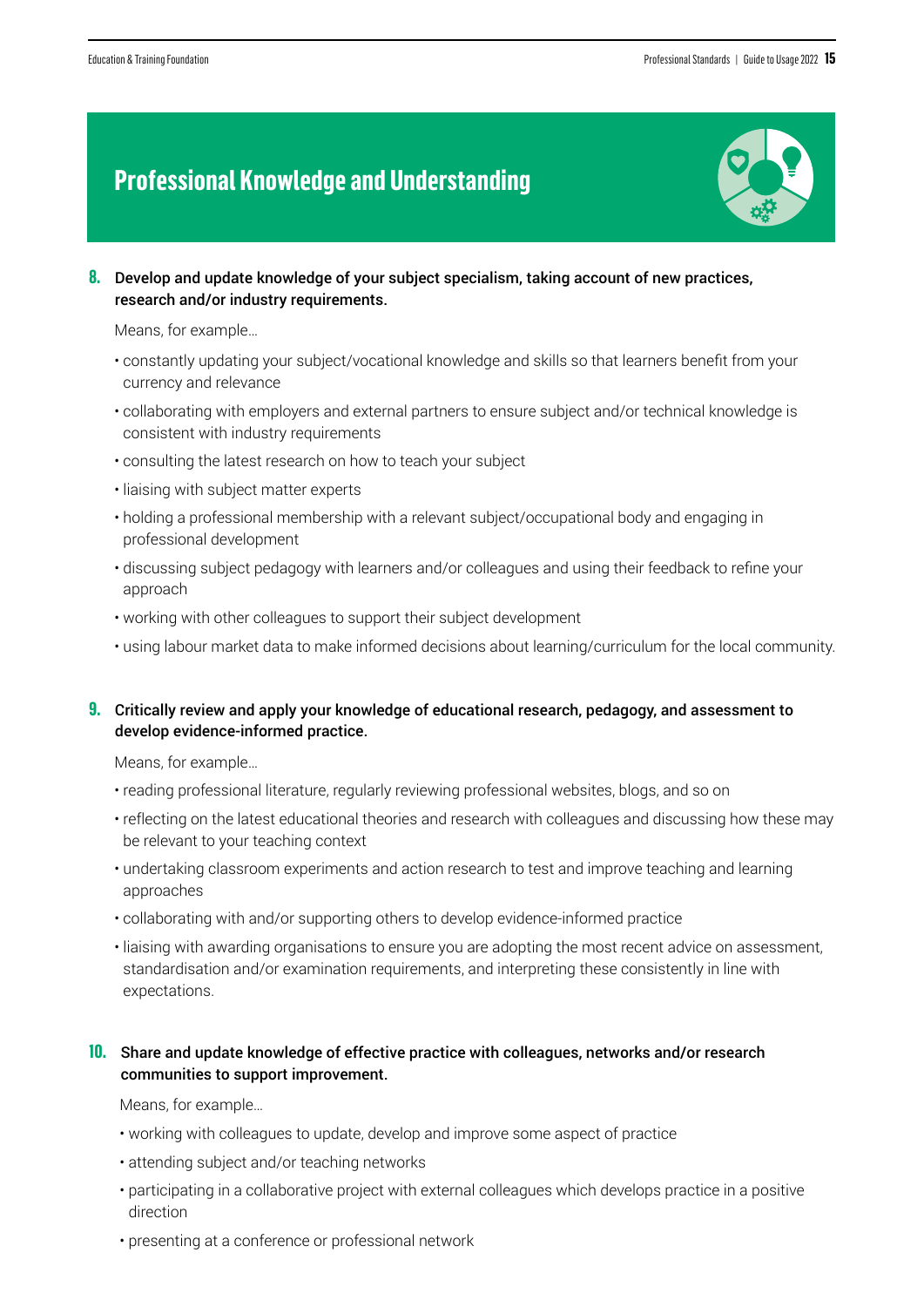### **Professional Knowledge and Understanding**

![](_page_14_Picture_3.jpeg)

**8.** Develop and update knowledge of your subject specialism, taking account of new practices, research and/or industry requirements.

Means, for example…

- constantly updating your subject/vocational knowledge and skills so that learners benefit from your currency and relevance
- collaborating with employers and external partners to ensure subject and/or technical knowledge is consistent with industry requirements
- consulting the latest research on how to teach your subject
- liaising with subject matter experts
- holding a professional membership with a relevant subject/occupational body and engaging in professional development
- discussing subject pedagogy with learners and/or colleagues and using their feedback to refine your approach
- working with other colleagues to support their subject development
- using labour market data to make informed decisions about learning/curriculum for the local community.

#### **9.** Critically review and apply your knowledge of educational research, pedagogy, and assessment to develop evidence-informed practice.

Means, for example…

- reading professional literature, regularly reviewing professional websites, blogs, and so on
- reflecting on the latest educational theories and research with colleagues and discussing how these may be relevant to your teaching context
- undertaking classroom experiments and action research to test and improve teaching and learning approaches
- collaborating with and/or supporting others to develop evidence-informed practice
- liaising with awarding organisations to ensure you are adopting the most recent advice on assessment, standardisation and/or examination requirements, and interpreting these consistently in line with expectations.

#### **10.** Share and update knowledge of effective practice with colleagues, networks and/or research communities to support improvement.

- working with colleagues to update, develop and improve some aspect of practice
- attending subject and/or teaching networks
- participating in a collaborative project with external colleagues which develops practice in a positive direction
- presenting at a conference or professional network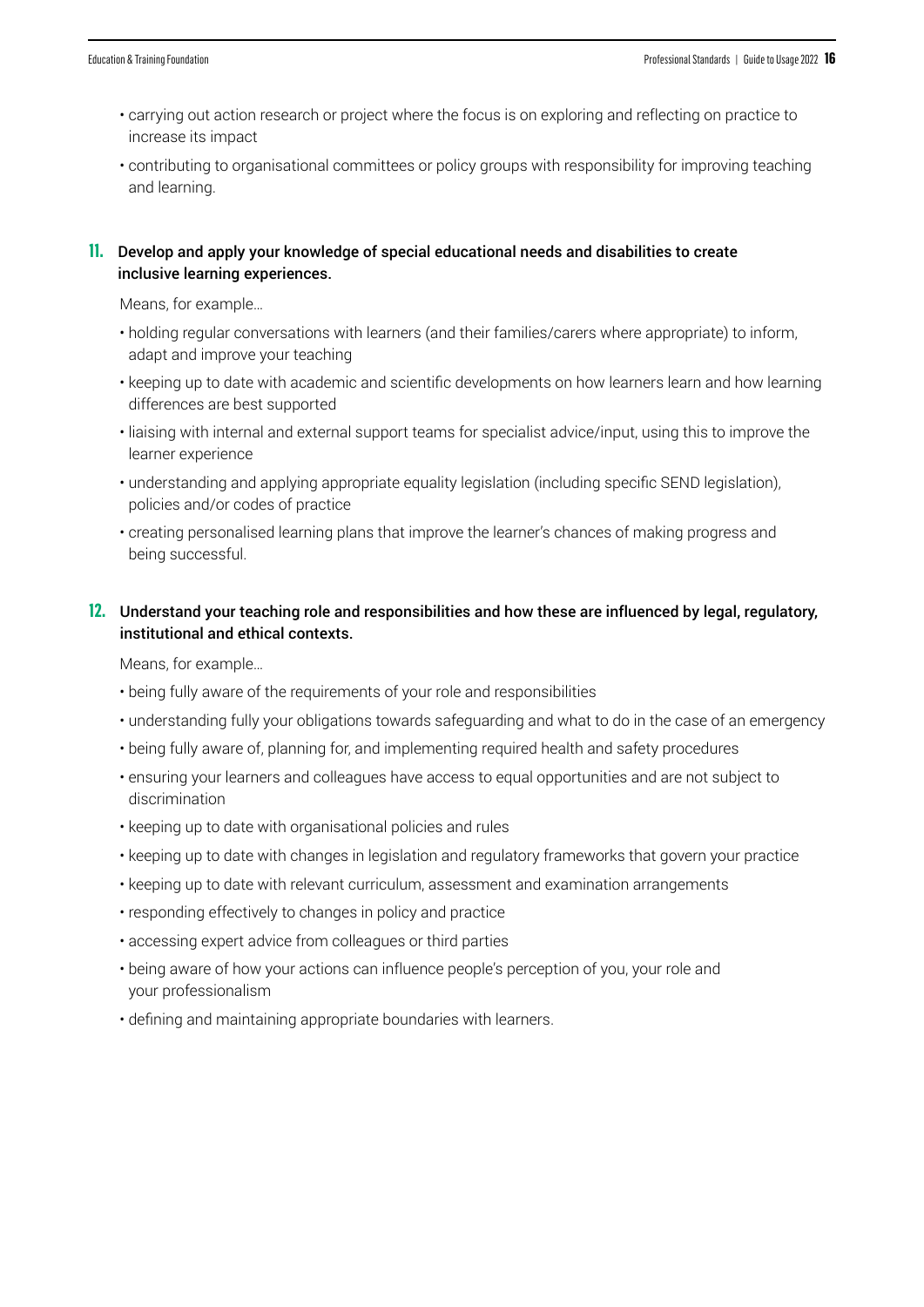- carrying out action research or project where the focus is on exploring and reflecting on practice to increase its impact
- contributing to organisational committees or policy groups with responsibility for improving teaching and learning.

#### **11.** Develop and apply your knowledge of special educational needs and disabilities to create inclusive learning experiences.

Means, for example…

- holding regular conversations with learners (and their families/carers where appropriate) to inform, adapt and improve your teaching
- keeping up to date with academic and scientific developments on how learners learn and how learning differences are best supported
- liaising with internal and external support teams for specialist advice/input, using this to improve the learner experience
- understanding and applying appropriate equality legislation (including specific SEND legislation), policies and/or codes of practice
- creating personalised learning plans that improve the learner's chances of making progress and being successful.

#### **12.** Understand your teaching role and responsibilities and how these are influenced by legal, regulatory, institutional and ethical contexts.

- being fully aware of the requirements of your role and responsibilities
- understanding fully your obligations towards safeguarding and what to do in the case of an emergency
- being fully aware of, planning for, and implementing required health and safety procedures
- ensuring your learners and colleagues have access to equal opportunities and are not subject to discrimination
- keeping up to date with organisational policies and rules
- keeping up to date with changes in legislation and regulatory frameworks that govern your practice
- keeping up to date with relevant curriculum, assessment and examination arrangements
- responding effectively to changes in policy and practice
- accessing expert advice from colleagues or third parties
- being aware of how your actions can influence people's perception of you, your role and your professionalism
- defining and maintaining appropriate boundaries with learners.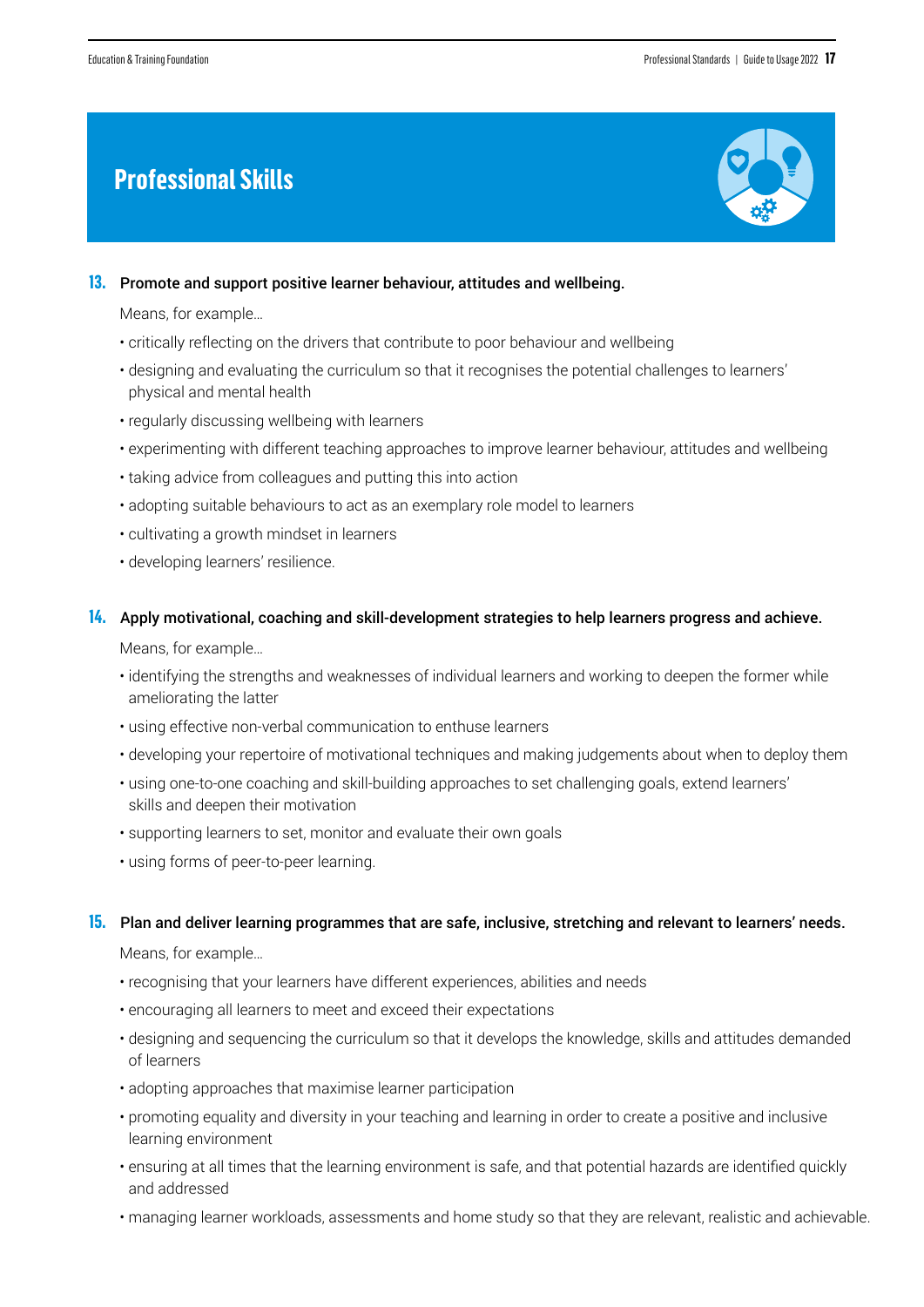### **Professional Skills**

![](_page_16_Picture_3.jpeg)

#### **13.** Promote and support positive learner behaviour, attitudes and wellbeing.

Means, for example…

- critically reflecting on the drivers that contribute to poor behaviour and wellbeing
- designing and evaluating the curriculum so that it recognises the potential challenges to learners' physical and mental health
- regularly discussing wellbeing with learners
- experimenting with different teaching approaches to improve learner behaviour, attitudes and wellbeing
- taking advice from colleagues and putting this into action
- adopting suitable behaviours to act as an exemplary role model to learners
- cultivating a growth mindset in learners
- developing learners' resilience.

#### **14.** Apply motivational, coaching and skill-development strategies to help learners progress and achieve.

Means, for example…

- identifying the strengths and weaknesses of individual learners and working to deepen the former while ameliorating the latter
- using effective non-verbal communication to enthuse learners
- developing your repertoire of motivational techniques and making judgements about when to deploy them
- using one-to-one coaching and skill-building approaches to set challenging goals, extend learners' skills and deepen their motivation
- supporting learners to set, monitor and evaluate their own goals
- using forms of peer-to-peer learning.

#### **15.** Plan and deliver learning programmes that are safe, inclusive, stretching and relevant to learners' needs.

- recognising that your learners have different experiences, abilities and needs
- encouraging all learners to meet and exceed their expectations
- designing and sequencing the curriculum so that it develops the knowledge, skills and attitudes demanded of learners
- adopting approaches that maximise learner participation
- promoting equality and diversity in your teaching and learning in order to create a positive and inclusive learning environment
- ensuring at all times that the learning environment is safe, and that potential hazards are identified quickly and addressed
- managing learner workloads, assessments and home study so that they are relevant, realistic and achievable.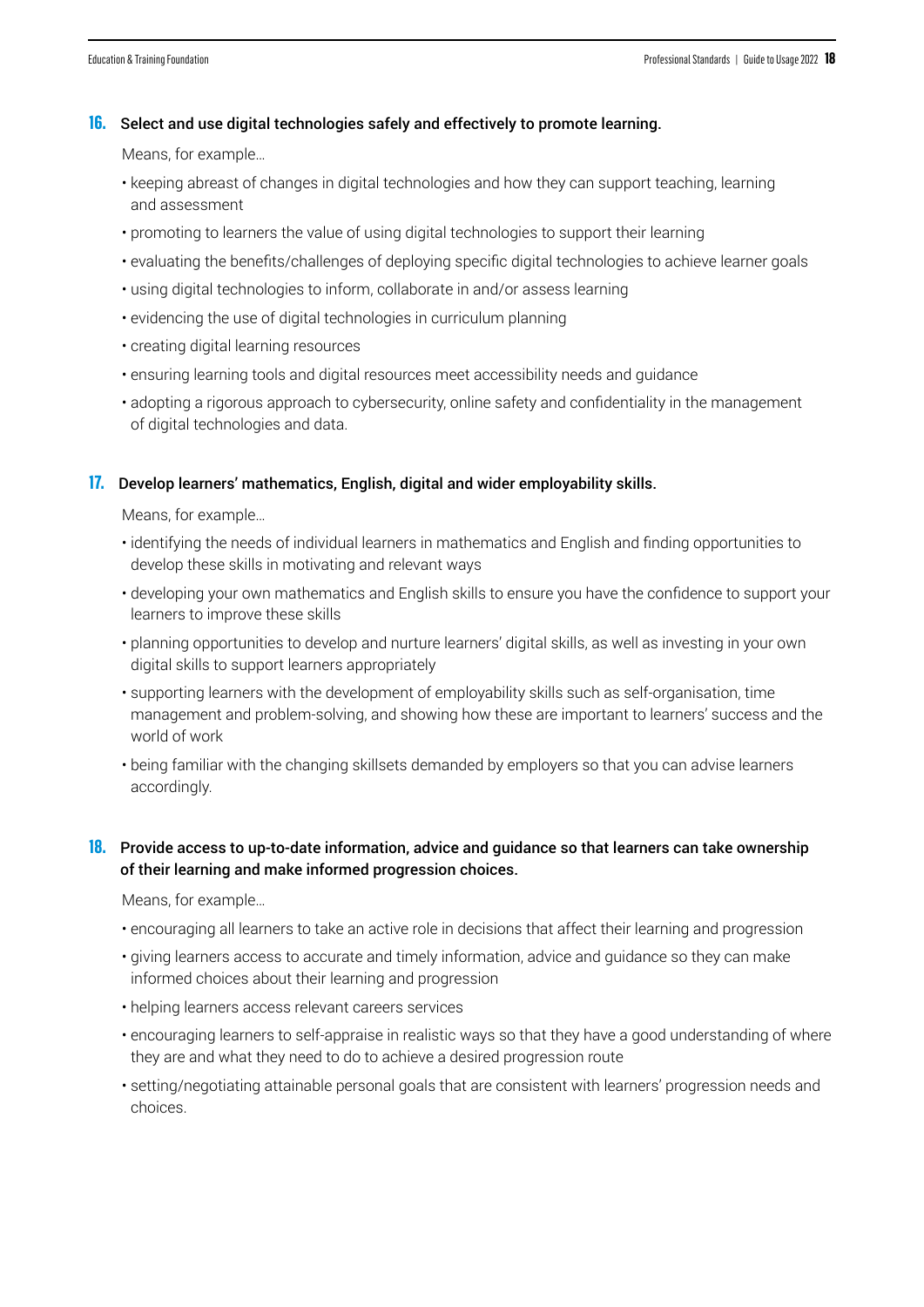#### **16.** Select and use digital technologies safely and effectively to promote learning.

Means, for example…

- keeping abreast of changes in digital technologies and how they can support teaching, learning and assessment
- promoting to learners the value of using digital technologies to support their learning
- evaluating the benefits/challenges of deploying specific digital technologies to achieve learner goals
- using digital technologies to inform, collaborate in and/or assess learning
- evidencing the use of digital technologies in curriculum planning
- creating digital learning resources
- ensuring learning tools and digital resources meet accessibility needs and guidance
- adopting a rigorous approach to cybersecurity, online safety and confidentiality in the management of digital technologies and data.

#### **17.** Develop learners' mathematics, English, digital and wider employability skills.

Means, for example…

- identifying the needs of individual learners in mathematics and English and finding opportunities to develop these skills in motivating and relevant ways
- developing your own mathematics and English skills to ensure you have the confidence to support your learners to improve these skills
- planning opportunities to develop and nurture learners' digital skills, as well as investing in your own digital skills to support learners appropriately
- supporting learners with the development of employability skills such as self-organisation, time management and problem-solving, and showing how these are important to learners' success and the world of work
- being familiar with the changing skillsets demanded by employers so that you can advise learners accordingly.

#### **18.** Provide access to up-to-date information, advice and guidance so that learners can take ownership of their learning and make informed progression choices.

- encouraging all learners to take an active role in decisions that affect their learning and progression
- giving learners access to accurate and timely information, advice and guidance so they can make informed choices about their learning and progression
- helping learners access relevant careers services
- encouraging learners to self-appraise in realistic ways so that they have a good understanding of where they are and what they need to do to achieve a desired progression route
- setting/negotiating attainable personal goals that are consistent with learners' progression needs and choices.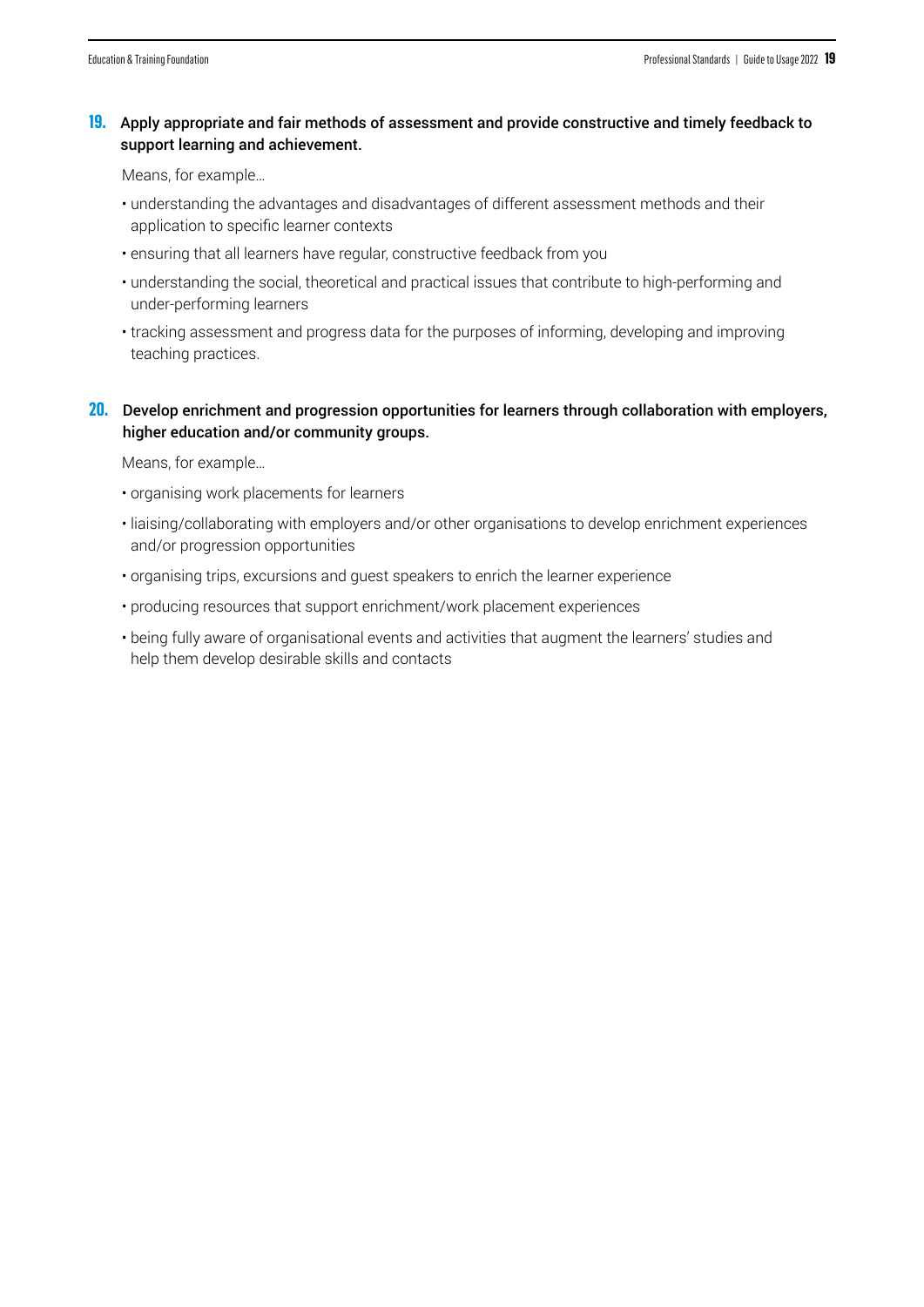#### **19.** Apply appropriate and fair methods of assessment and provide constructive and timely feedback to support learning and achievement.

Means, for example…

- understanding the advantages and disadvantages of different assessment methods and their application to specific learner contexts
- ensuring that all learners have regular, constructive feedback from you
- understanding the social, theoretical and practical issues that contribute to high-performing and under-performing learners
- tracking assessment and progress data for the purposes of informing, developing and improving teaching practices.

#### **20.** Develop enrichment and progression opportunities for learners through collaboration with employers, higher education and/or community groups.

- organising work placements for learners
- liaising/collaborating with employers and/or other organisations to develop enrichment experiences and/or progression opportunities
- organising trips, excursions and guest speakers to enrich the learner experience
- producing resources that support enrichment/work placement experiences
- being fully aware of organisational events and activities that augment the learners' studies and help them develop desirable skills and contacts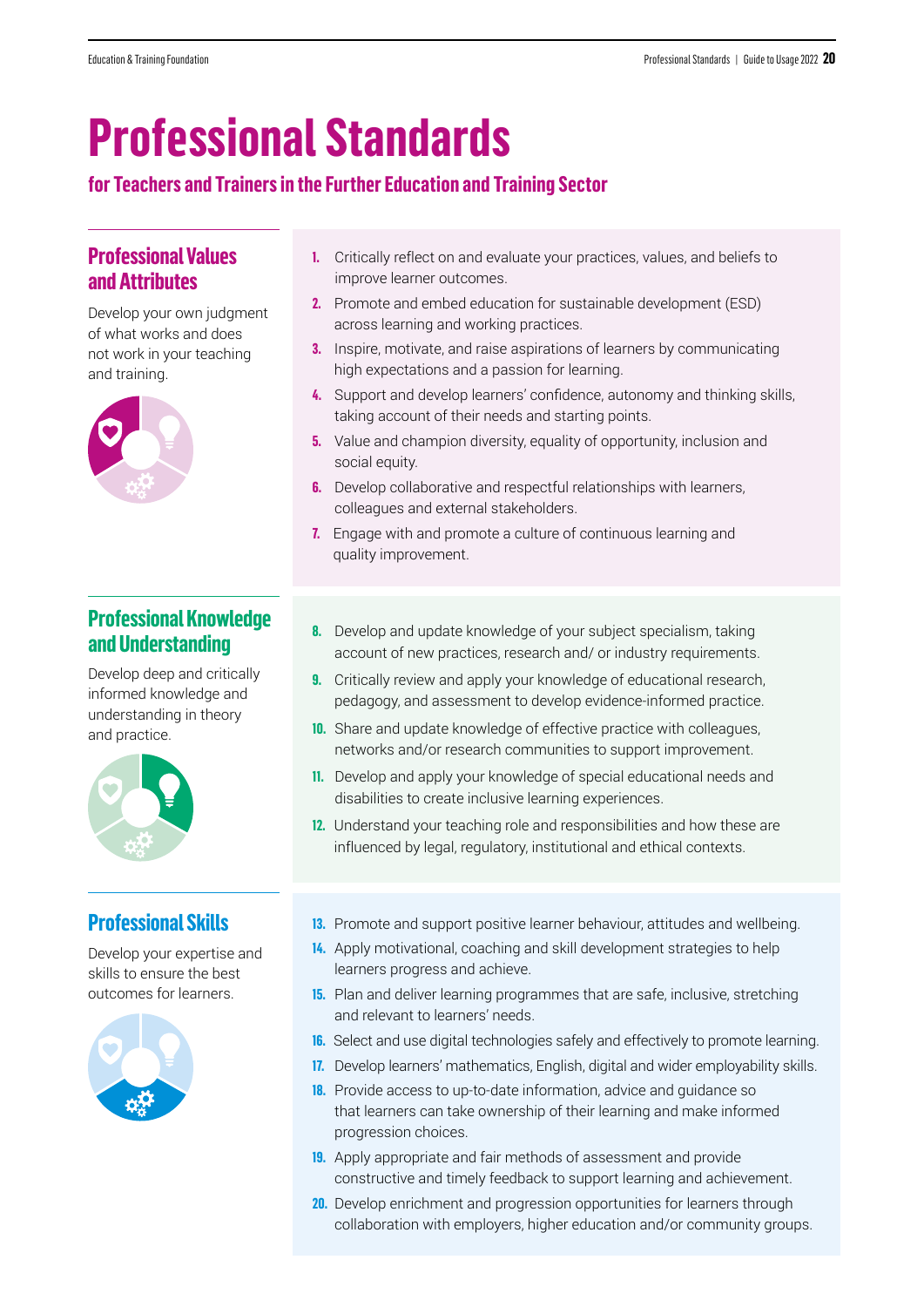# **Professional Standards**

#### **for Teachers and Trainers in the Further Education and Training Sector**

### **Professional Values and Attributes**

Develop your own judgment of what works and does not work in your teaching and training.

![](_page_19_Picture_6.jpeg)

#### **Professional Knowledge and Understanding**

Develop deep and critically informed knowledge and understanding in theory and practice.

![](_page_19_Picture_9.jpeg)

### **Professional Skills**

Develop your expertise and skills to ensure the best outcomes for learners.

![](_page_19_Picture_12.jpeg)

- **1.** Critically reflect on and evaluate your practices, values, and beliefs to improve learner outcomes.
- **2.** Promote and embed education for sustainable development (ESD) across learning and working practices.
- **3.** Inspire, motivate, and raise aspirations of learners by communicating high expectations and a passion for learning.
- **4.** Support and develop learners' confidence, autonomy and thinking skills, taking account of their needs and starting points.
- **5.** Value and champion diversity, equality of opportunity, inclusion and social equity.
- **6.** Develop collaborative and respectful relationships with learners, colleagues and external stakeholders.
- **7.** Engage with and promote a culture of continuous learning and quality improvement.
- **8.** Develop and update knowledge of your subject specialism, taking account of new practices, research and/ or industry requirements.
- **9.** Critically review and apply your knowledge of educational research, pedagogy, and assessment to develop evidence-informed practice.
- **10.** Share and update knowledge of effective practice with colleagues, networks and/or research communities to support improvement.
- **11.** Develop and apply your knowledge of special educational needs and disabilities to create inclusive learning experiences.
- **12.** Understand your teaching role and responsibilities and how these are influenced by legal, regulatory, institutional and ethical contexts.
- **13.** Promote and support positive learner behaviour, attitudes and wellbeing.
- **14.** Apply motivational, coaching and skill development strategies to help learners progress and achieve.
- **15.** Plan and deliver learning programmes that are safe, inclusive, stretching and relevant to learners' needs.
- **16.** Select and use digital technologies safely and effectively to promote learning.
- **17.** Develop learners' mathematics, English, digital and wider employability skills.
- **18.** Provide access to up-to-date information, advice and guidance so that learners can take ownership of their learning and make informed progression choices.
- **19.** Apply appropriate and fair methods of assessment and provide constructive and timely feedback to support learning and achievement.
- **20.** Develop enrichment and progression opportunities for learners through collaboration with employers, higher education and/or community groups.